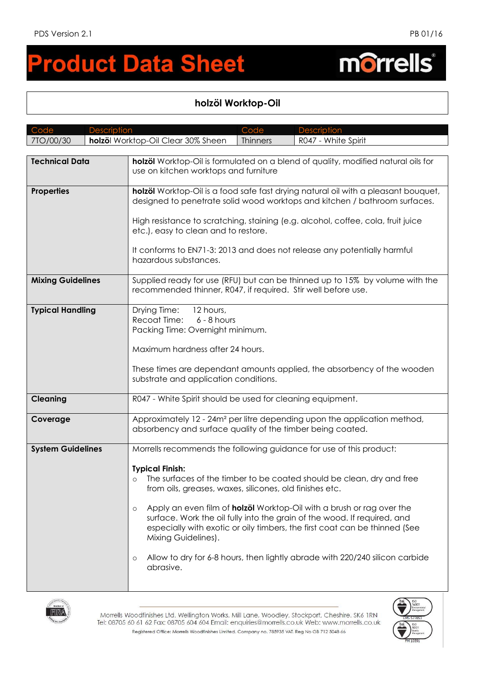## **roduct Data Sheet**  $\blacksquare$

## **holzöl Worktop-Oil**

| Code<br><b>Description</b> |  |                                                                                                                                                                                                                                                                                                                                                                                                   | Code            | <b>Description</b>                                                                                                                                                                                                                                                                                                                                                                                                                                                     |  |
|----------------------------|--|---------------------------------------------------------------------------------------------------------------------------------------------------------------------------------------------------------------------------------------------------------------------------------------------------------------------------------------------------------------------------------------------------|-----------------|------------------------------------------------------------------------------------------------------------------------------------------------------------------------------------------------------------------------------------------------------------------------------------------------------------------------------------------------------------------------------------------------------------------------------------------------------------------------|--|
| 7TO/00/30                  |  | holzöl Worktop-Oil Clear 30% Sheen                                                                                                                                                                                                                                                                                                                                                                | <b>Thinners</b> | R047 - White Spirit                                                                                                                                                                                                                                                                                                                                                                                                                                                    |  |
|                            |  |                                                                                                                                                                                                                                                                                                                                                                                                   |                 |                                                                                                                                                                                                                                                                                                                                                                                                                                                                        |  |
| <b>Technical Data</b>      |  | holzöl Worktop-Oil is formulated on a blend of quality, modified natural oils for<br>use on kitchen worktops and furniture                                                                                                                                                                                                                                                                        |                 |                                                                                                                                                                                                                                                                                                                                                                                                                                                                        |  |
| <b>Properties</b>          |  | holzöl Worktop-Oil is a food safe fast drying natural oil with a pleasant bouquet,<br>designed to penetrate solid wood worktops and kitchen / bathroom surfaces.<br>High resistance to scratching, staining (e.g. alcohol, coffee, cola, fruit juice<br>etc.), easy to clean and to restore.<br>It conforms to EN71-3: 2013 and does not release any potentially harmful<br>hazardous substances. |                 |                                                                                                                                                                                                                                                                                                                                                                                                                                                                        |  |
| <b>Mixing Guidelines</b>   |  | Supplied ready for use (RFU) but can be thinned up to 15% by volume with the<br>recommended thinner, R047, if required. Stir well before use.                                                                                                                                                                                                                                                     |                 |                                                                                                                                                                                                                                                                                                                                                                                                                                                                        |  |
| <b>Typical Handling</b>    |  | Drying Time:<br>12 hours,<br>Recoat Time:<br>$6 - 8$ hours<br>Packing Time: Overnight minimum.<br>Maximum hardness after 24 hours.<br>These times are dependant amounts applied, the absorbency of the wooden<br>substrate and application conditions.                                                                                                                                            |                 |                                                                                                                                                                                                                                                                                                                                                                                                                                                                        |  |
|                            |  |                                                                                                                                                                                                                                                                                                                                                                                                   |                 |                                                                                                                                                                                                                                                                                                                                                                                                                                                                        |  |
| <b>Cleaning</b>            |  | R047 - White Spirit should be used for cleaning equipment.                                                                                                                                                                                                                                                                                                                                        |                 |                                                                                                                                                                                                                                                                                                                                                                                                                                                                        |  |
| Coverage                   |  | Approximately 12 - 24m <sup>2</sup> per litre depending upon the application method,<br>absorbency and surface quality of the timber being coated.                                                                                                                                                                                                                                                |                 |                                                                                                                                                                                                                                                                                                                                                                                                                                                                        |  |
| <b>System Guidelines</b>   |  | <b>Typical Finish:</b><br>$\circ$<br>from oils, greases, waxes, silicones, old finishes etc.<br>$\circ$<br>Mixing Guidelines).<br>$\circ$<br>abrasive.                                                                                                                                                                                                                                            |                 | Morrells recommends the following guidance for use of this product:<br>The surfaces of the timber to be coated should be clean, dry and free<br>Apply an even film of <b>holzöl</b> Worktop-Oil with a brush or rag over the<br>surface. Work the oil fully into the grain of the wood. If required, and<br>especially with exotic or oily timbers, the first coat can be thinned (See<br>Allow to dry for 6-8 hours, then lightly abrade with 220/240 silicon carbide |  |



Morrells Woodfinishes Ltd. Wellington Works, Mill Lane, Woodley, Stockport, Cheshire. SK6 IRN Tel: 08705 60 61 62 Fax: 08705 604 604 Email: enquiries@morrells.co.uk Web: www.morrells.co.uk Registered Office: Morrells Woodfinishes Limited. Company no. 785935 VAT. Reg No GB 712 5048 66



## morrells®